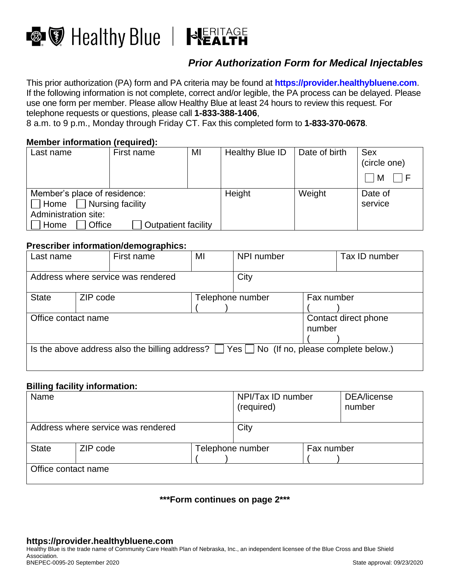



# *Prior Authorization Form for Medical Injectables*

This prior authorization (PA) form and PA criteria may be found at **[https://provider.healthybluene.com](https://provider.healthybluene.com/)**. If the following information is not complete, correct and/or legible, the PA process can be delayed. Please use one form per member. Please allow Healthy Blue at least 24 hours to review this request. For telephone requests or questions, please call **1-833-388-1406**,

8 a.m. to 9 p.m., Monday through Friday CT. Fax this completed form to **1-833-370-0678**.

# **Member information (required):**

| Last name                                                                                                                                   | First name | MI | Healthy Blue ID | Date of birth | <b>Sex</b><br>(circle one)<br>M |
|---------------------------------------------------------------------------------------------------------------------------------------------|------------|----|-----------------|---------------|---------------------------------|
| Member's place of residence:<br>$\Box$ Home $\Box$ Nursing facility<br>Administration site:<br><b>Outpatient facility</b><br>Office<br>Home |            |    | Height          | Weight        | Date of<br>service              |

### **Prescriber information/demographics:**

| Last name                                                                                           |          | First name | MI                             | NPI number       |            | Tax ID number |
|-----------------------------------------------------------------------------------------------------|----------|------------|--------------------------------|------------------|------------|---------------|
| Address where service was rendered                                                                  |          |            | City                           |                  |            |               |
| <b>State</b>                                                                                        | ZIP code |            |                                | Telephone number | Fax number |               |
| Office contact name                                                                                 |          |            | Contact direct phone<br>number |                  |            |               |
| Is the above address also the billing address? $\Box$ Yes $\Box$ No (If no, please complete below.) |          |            |                                |                  |            |               |

#### **Billing facility information:**

| Name                               |          |  | NPI/Tax ID number<br>(required) |            | DEA/license<br>number |
|------------------------------------|----------|--|---------------------------------|------------|-----------------------|
| Address where service was rendered |          |  | City                            |            |                       |
| <b>State</b>                       | ZIP code |  | Telephone number                | Fax number |                       |
| Office contact name                |          |  |                                 |            |                       |

## **\*\*\*Form continues on page 2\*\*\***

Healthy Blue is the trade name of Community Care Health Plan of Nebraska, Inc., an independent licensee of the Blue Cross and Blue Shield Association. BNEPEC-0095-20 September 2020 State approval: 09/23/2020 State approval: 09/23/2020